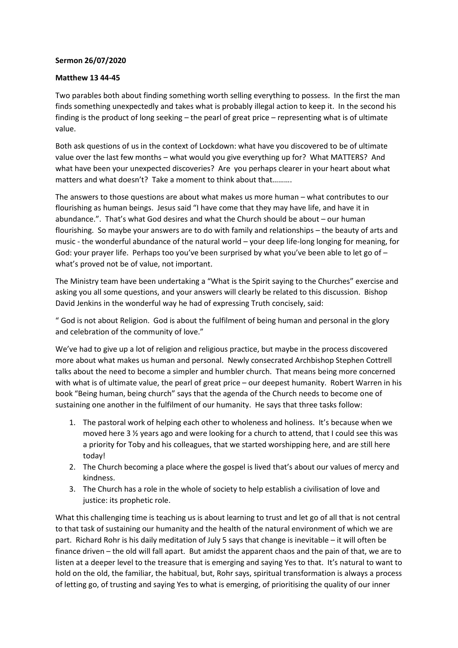## **Sermon 26/07/2020**

## **Matthew 13 44-45**

Two parables both about finding something worth selling everything to possess. In the first the man finds something unexpectedly and takes what is probably illegal action to keep it. In the second his finding is the product of long seeking – the pearl of great price – representing what is of ultimate value.

Both ask questions of us in the context of Lockdown: what have you discovered to be of ultimate value over the last few months – what would you give everything up for? What MATTERS? And what have been your unexpected discoveries? Are you perhaps clearer in your heart about what matters and what doesn't? Take a moment to think about that……….

The answers to those questions are about what makes us more human – what contributes to our flourishing as human beings. Jesus said "I have come that they may have life, and have it in abundance.". That's what God desires and what the Church should be about – our human flourishing. So maybe your answers are to do with family and relationships – the beauty of arts and music - the wonderful abundance of the natural world – your deep life-long longing for meaning, for God: your prayer life. Perhaps too you've been surprised by what you've been able to let go of – what's proved not be of value, not important.

The Ministry team have been undertaking a "What is the Spirit saying to the Churches" exercise and asking you all some questions, and your answers will clearly be related to this discussion. Bishop David Jenkins in the wonderful way he had of expressing Truth concisely, said:

" God is not about Religion. God is about the fulfilment of being human and personal in the glory and celebration of the community of love."

We've had to give up a lot of religion and religious practice, but maybe in the process discovered more about what makes us human and personal. Newly consecrated Archbishop Stephen Cottrell talks about the need to become a simpler and humbler church. That means being more concerned with what is of ultimate value, the pearl of great price – our deepest humanity. Robert Warren in his book "Being human, being church" says that the agenda of the Church needs to become one of sustaining one another in the fulfilment of our humanity. He says that three tasks follow:

- 1. The pastoral work of helping each other to wholeness and holiness. It's because when we moved here 3 ½ years ago and were looking for a church to attend, that I could see this was a priority for Toby and his colleagues, that we started worshipping here, and are still here today!
- 2. The Church becoming a place where the gospel is lived that's about our values of mercy and kindness.
- 3. The Church has a role in the whole of society to help establish a civilisation of love and justice: its prophetic role.

What this challenging time is teaching us is about learning to trust and let go of all that is not central to that task of sustaining our humanity and the health of the natural environment of which we are part. Richard Rohr is his daily meditation of July 5 says that change is inevitable – it will often be finance driven – the old will fall apart. But amidst the apparent chaos and the pain of that, we are to listen at a deeper level to the treasure that is emerging and saying Yes to that. It's natural to want to hold on the old, the familiar, the habitual, but, Rohr says, spiritual transformation is always a process of letting go, of trusting and saying Yes to what is emerging, of prioritising the quality of our inner